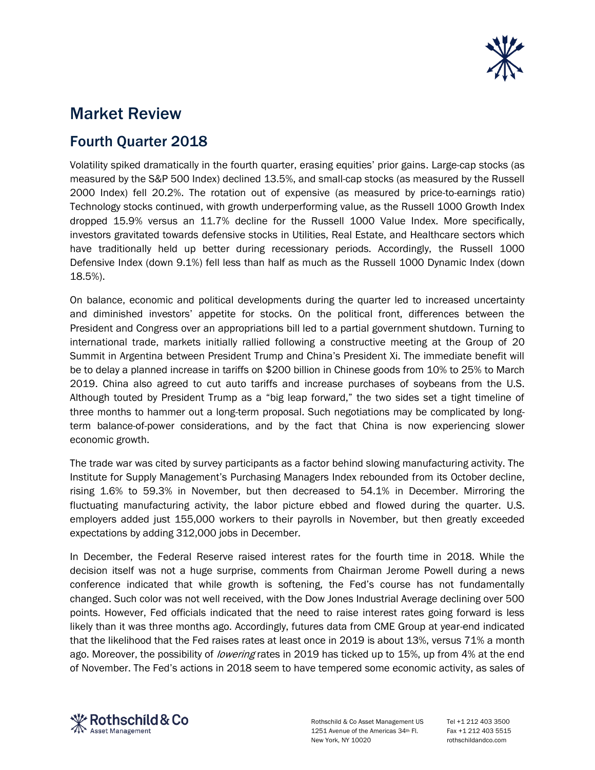

## Market Review

## Fourth Quarter 2018

Volatility spiked dramatically in the fourth quarter, erasing equities' prior gains. Large-cap stocks (as measured by the S&P 500 Index) declined 13.5%, and small-cap stocks (as measured by the Russell 2000 Index) fell 20.2%. The rotation out of expensive (as measured by price-to-earnings ratio) Technology stocks continued, with growth underperforming value, as the Russell 1000 Growth Index dropped 15.9% versus an 11.7% decline for the Russell 1000 Value Index. More specifically, investors gravitated towards defensive stocks in Utilities, Real Estate, and Healthcare sectors which have traditionally held up better during recessionary periods. Accordingly, the Russell 1000 Defensive Index (down 9.1%) fell less than half as much as the Russell 1000 Dynamic Index (down 18.5%).

On balance, economic and political developments during the quarter led to increased uncertainty and diminished investors' appetite for stocks. On the political front, differences between the President and Congress over an appropriations bill led to a partial government shutdown. Turning to international trade, markets initially rallied following a constructive meeting at the Group of 20 Summit in Argentina between President Trump and China's President Xi. The immediate benefit will be to delay a planned increase in tariffs on \$200 billion in Chinese goods from 10% to 25% to March 2019. China also agreed to cut auto tariffs and increase purchases of soybeans from the U.S. Although touted by President Trump as a "big leap forward," the two sides set a tight timeline of three months to hammer out a long-term proposal. Such negotiations may be complicated by longterm balance-of-power considerations, and by the fact that China is now experiencing slower economic growth.

The trade war was cited by survey participants as a factor behind slowing manufacturing activity. The Institute for Supply Management's Purchasing Managers Index rebounded from its October decline, rising 1.6% to 59.3% in November, but then decreased to 54.1% in December. Mirroring the fluctuating manufacturing activity, the labor picture ebbed and flowed during the quarter. U.S. employers added just 155,000 workers to their payrolls in November, but then greatly exceeded expectations by adding 312,000 jobs in December.

In December, the Federal Reserve raised interest rates for the fourth time in 2018. While the decision itself was not a huge surprise, comments from Chairman Jerome Powell during a news conference indicated that while growth is softening, the Fed's course has not fundamentally changed. Such color was not well received, with the Dow Jones Industrial Average declining over 500 points. However, Fed officials indicated that the need to raise interest rates going forward is less likely than it was three months ago. Accordingly, futures data from CME Group at year-end indicated that the likelihood that the Fed raises rates at least once in 2019 is about 13%, versus 71% a month ago. Moreover, the possibility of *lowering* rates in 2019 has ticked up to 15%, up from 4% at the end of November. The Fed's actions in 2018 seem to have tempered some economic activity, as sales of



Rothschild & Co Asset Management US Tel +1 212 403 3500 1251 Avenue of the Americas 34th Fl. Fax +1 212 403 5515 New York, NY 10020 rothschildandco.com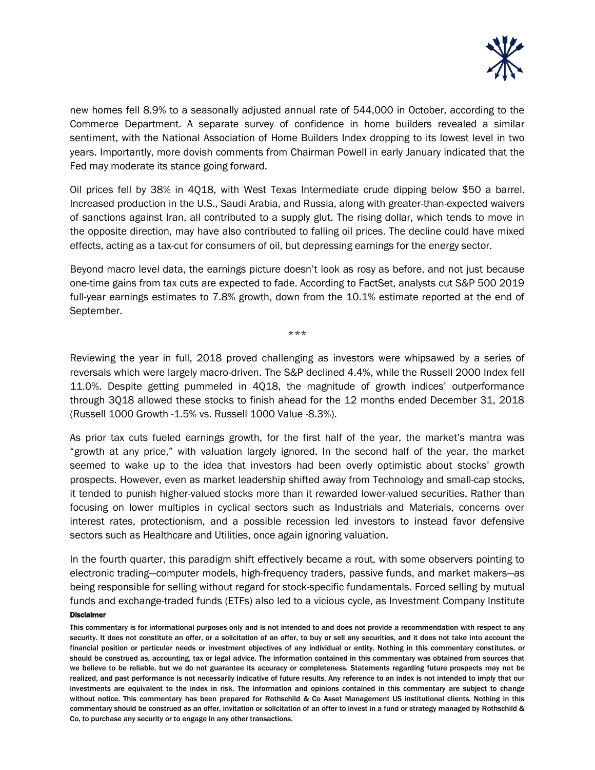

new homes fell 8.9% to a seasonally adjusted annual rate of 544,000 in October, according to the Commerce Department. A separate survey of confidence in home builders revealed a similar sentiment, with the National Association of Home Builders Index dropping to its lowest level in two years. Importantly, more dovish comments from Chairman Powell in early January indicated that the Fed may moderate its stance going forward.

Oil prices fell by 38% in 4Q18, with West Texas Intermediate crude dipping below \$50 a barrel. Increased production in the U.S., Saudi Arabia, and Russia, along with greater-than-expected waivers of sanctions against Iran, all contributed to a supply glut. The rising dollar, which tends to move in the opposite direction, may have also contributed to falling oil prices. The decline could have mixed effects, acting as a tax-cut for consumers of oil, but depressing earnings for the energy sector.

Beyond macro level data, the earnings picture doesn't look as rosy as before, and not just because one-time gains from tax cuts are expected to fade. According to FactSet, analysts cut S&P 500 2019 full-year earnings estimates to 7.8% growth, down from the 10.1% estimate reported at the end of September.

\*\*\*

Reviewing the year in full, 2018 proved challenging as investors were whipsawed by a series of reversals which were largely macro-driven. The S&P declined 4.4%, while the Russell 2000 Index fell 11.0%. Despite getting pummeled in 4Q18, the magnitude of growth indices' outperformance through 3Q18 allowed these stocks to finish ahead for the 12 months ended December 31, 2018 (Russell 1000 Growth -1.5% vs. Russell 1000 Value -8.3%).

As prior tax cuts fueled earnings growth, for the first half of the year, the market's mantra was "growth at any price," with valuation largely ignored. In the second half of the year, the market seemed to wake up to the idea that investors had been overly optimistic about stocks' growth prospects. However, even as market leadership shifted away from Technology and small-cap stocks, it tended to punish higher-valued stocks more than it rewarded lower-valued securities. Rather than focusing on lower multiples in cyclical sectors such as Industrials and Materials, concerns over interest rates, protectionism, and a possible recession led investors to instead favor defensive sectors such as Healthcare and Utilities, once again ignoring valuation.

Disclaimer In the fourth quarter, this paradigm shift effectively became a rout, with some observers pointing to electronic trading—computer models, high-frequency traders, passive funds, and market makers—as being responsible for selling without regard for stock-specific fundamentals. Forced selling by mutual funds and exchange-traded funds (ETFs) also led to a vicious cycle, as Investment Company Institute

This commentary is for informational purposes only and is not intended to and does not provide a recommendation with respect to any security. It does not constitute an offer, or a solicitation of an offer, to buy or sell any securities, and it does not take into account the financial position or particular needs or investment objectives of any individual or entity. Nothing in this commentary constitutes, or should be construed as, accounting, tax or legal advice. The information contained in this commentary was obtained from sources that we believe to be reliable, but we do not guarantee its accuracy or completeness. Statements regarding future prospects may not be realized, and past performance is not necessarily indicative of future results. Any reference to an index is not intended to imply that our investments are equivalent to the index in risk. The information and opinions contained in this commentary are subject to change without notice. This commentary has been prepared for Rothschild & Co Asset Management US institutional clients. Nothing in this commentary should be construed as an offer, invitation or solicitation of an offer to invest in a fund or strategy managed by Rothschild & Co, to purchase any security or to engage in any other transactions.